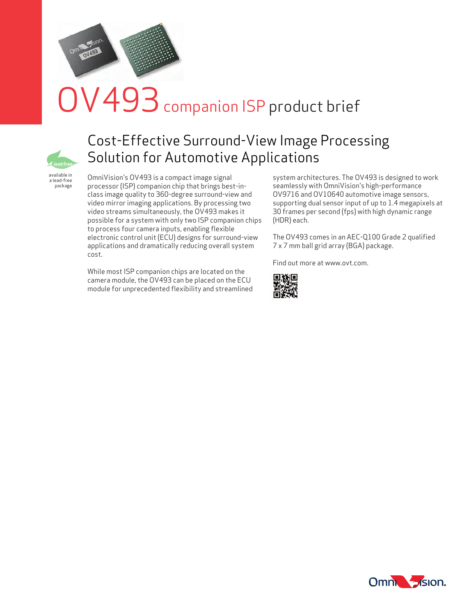

# $\mathsf{V}493$  companion ISP product brief



## Cost-Effective Surround-View Image Processing Solution for Automotive Applications

available in a lead-free package

OmniVision's OV493 is a compact image signal processor (ISP) companion chip that brings best-inclass image quality to 360-degree surround-view and video mirror imaging applications. By processing two video streams simultaneously, the OV493 makes it possible for a system with only two ISP companion chips to process four camera inputs, enabling flexible electronic control unit (ECU) designs for surround-view applications and dramatically reducing overall system cost.

While most ISP companion chips are located on the camera module, the OV493 can be placed on the ECU module for unprecedented flexibility and streamlined system architectures. The OV493 is designed to work seamlessly with OmniVision's high-performance OV9716 and OV10640 automotive image sensors, supporting dual sensor input of up to 1.4 megapixels at 30 frames per second (fps) with high dynamic range (HDR) each.

The OV493 comes in an AEC-Q100 Grade 2 qualified 7 x 7 mm ball grid array (BGA) package.

Find out more at www.ovt.com.